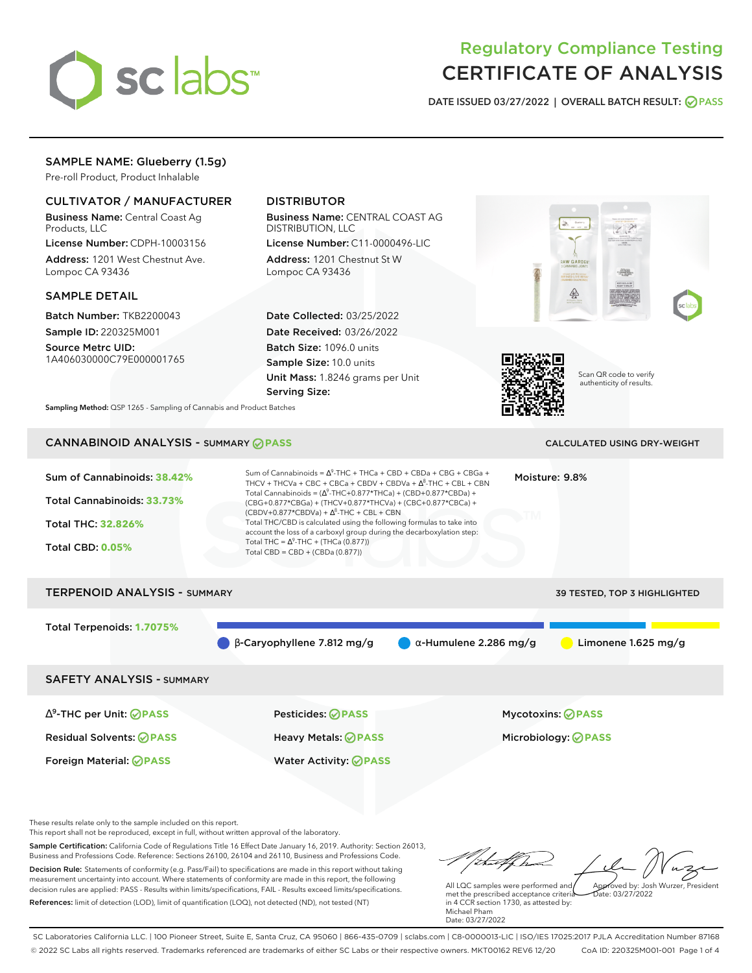

# Regulatory Compliance Testing CERTIFICATE OF ANALYSIS

**DATE ISSUED 03/27/2022 | OVERALL BATCH RESULT: PASS**

W GARDE

́

## SAMPLE NAME: Glueberry (1.5g)

Pre-roll Product, Product Inhalable

#### CULTIVATOR / MANUFACTURER

Business Name: Central Coast Ag Products, LLC

License Number: CDPH-10003156 Address: 1201 West Chestnut Ave. Lompoc CA 93436

#### SAMPLE DETAIL

Batch Number: TKB2200043 Sample ID: 220325M001

Source Metrc UID: 1A406030000C79E000001765

# DISTRIBUTOR

Business Name: CENTRAL COAST AG DISTRIBUTION, LLC

License Number: C11-0000496-LIC Address: 1201 Chestnut St W Lompoc CA 93436

Date Collected: 03/25/2022 Date Received: 03/26/2022 Batch Size: 1096.0 units Sample Size: 10.0 units Unit Mass: 1.8246 grams per Unit Serving Size:



Scan QR code to verify authenticity of results.

**Sampling Method:** QSP 1265 - Sampling of Cannabis and Product Batches

# CANNABINOID ANALYSIS - SUMMARY **PASS** CALCULATED USING DRY-WEIGHT

| Sum of Cannabinoids: 38.42%<br>Total Cannabinoids: 33.73%<br><b>Total THC: 32.826%</b><br><b>Total CBD: 0.05%</b> | Sum of Cannabinoids = $\Delta^9$ -THC + THCa + CBD + CBDa + CBG + CBGa +<br>THCV + THCVa + CBC + CBCa + CBDV + CBDVa + $\Delta^8$ -THC + CBL + CBN<br>Total Cannabinoids = $(\Delta^9$ -THC+0.877*THCa) + (CBD+0.877*CBDa) +<br>(CBG+0.877*CBGa) + (THCV+0.877*THCVa) + (CBC+0.877*CBCa) +<br>$(CBDV+0.877*CBDVa) + \Delta^{8}$ -THC + CBL + CBN<br>Total THC/CBD is calculated using the following formulas to take into<br>account the loss of a carboxyl group during the decarboxylation step:<br>Total THC = $\Delta^9$ -THC + (THCa (0.877))<br>Total CBD = CBD + (CBDa (0.877)) | Moisture: 9.8%                |                              |
|-------------------------------------------------------------------------------------------------------------------|----------------------------------------------------------------------------------------------------------------------------------------------------------------------------------------------------------------------------------------------------------------------------------------------------------------------------------------------------------------------------------------------------------------------------------------------------------------------------------------------------------------------------------------------------------------------------------------|-------------------------------|------------------------------|
| <b>TERPENOID ANALYSIS - SUMMARY</b>                                                                               |                                                                                                                                                                                                                                                                                                                                                                                                                                                                                                                                                                                        |                               | 39 TESTED, TOP 3 HIGHLIGHTED |
| Total Terpenoids: 1.7075%                                                                                         | $\beta$ -Caryophyllene 7.812 mg/g                                                                                                                                                                                                                                                                                                                                                                                                                                                                                                                                                      | $\alpha$ -Humulene 2.286 mg/g | Limonene $1.625$ mg/g        |
| <b>SAFETY ANALYSIS - SUMMARY</b>                                                                                  |                                                                                                                                                                                                                                                                                                                                                                                                                                                                                                                                                                                        |                               |                              |
| $\Delta^9$ -THC per Unit: <b>OPASS</b>                                                                            | Pesticides: ⊘PASS                                                                                                                                                                                                                                                                                                                                                                                                                                                                                                                                                                      |                               | <b>Mycotoxins: ⊘PASS</b>     |
| <b>Residual Solvents: ⊘PASS</b>                                                                                   | <b>Heavy Metals: ⊘ PASS</b>                                                                                                                                                                                                                                                                                                                                                                                                                                                                                                                                                            |                               | Microbiology: <b>@PASS</b>   |
| Foreign Material: <b>⊘ PASS</b>                                                                                   | <b>Water Activity: ⊘PASS</b>                                                                                                                                                                                                                                                                                                                                                                                                                                                                                                                                                           |                               |                              |

These results relate only to the sample included on this report.

This report shall not be reproduced, except in full, without written approval of the laboratory.

Sample Certification: California Code of Regulations Title 16 Effect Date January 16, 2019. Authority: Section 26013, Business and Professions Code. Reference: Sections 26100, 26104 and 26110, Business and Professions Code. Decision Rule: Statements of conformity (e.g. Pass/Fail) to specifications are made in this report without taking measurement uncertainty into account. Where statements of conformity are made in this report, the following decision rules are applied: PASS - Results within limits/specifications, FAIL - Results exceed limits/specifications.

References: limit of detection (LOD), limit of quantification (LOQ), not detected (ND), not tested (NT)

thatford Approved by: Josh Wurzer, President

 $hat: 03/27/2022$ 

All LQC samples were performed and met the prescribed acceptance criteria in 4 CCR section 1730, as attested by: Michael Pham Date: 03/27/2022

SC Laboratories California LLC. | 100 Pioneer Street, Suite E, Santa Cruz, CA 95060 | 866-435-0709 | sclabs.com | C8-0000013-LIC | ISO/IES 17025:2017 PJLA Accreditation Number 87168 © 2022 SC Labs all rights reserved. Trademarks referenced are trademarks of either SC Labs or their respective owners. MKT00162 REV6 12/20 CoA ID: 220325M001-001 Page 1 of 4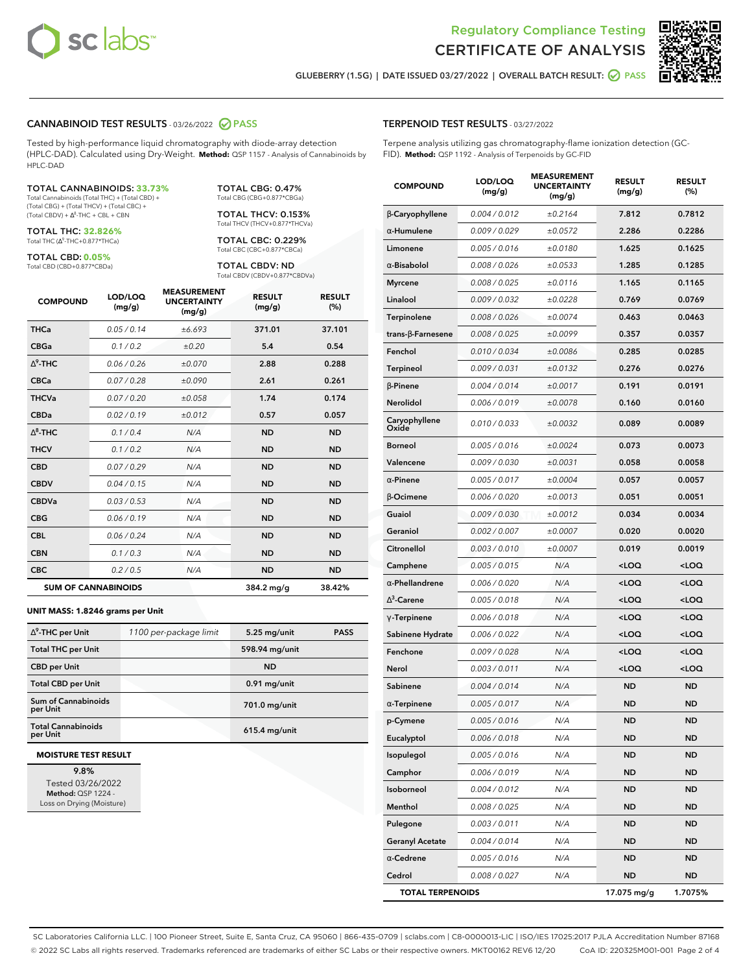



**GLUEBERRY (1.5G) | DATE ISSUED 03/27/2022 | OVERALL BATCH RESULT: PASS**

#### **CANNABINOID TEST RESULTS** - 03/26/2022 **PASS**

Tested by high-performance liquid chromatography with diode-array detection (HPLC-DAD). Calculated using Dry-Weight. **Method:** QSP 1157 - Analysis of Cannabinoids by HPLC-DAD

#### TOTAL CANNABINOIDS: **33.73%**

Total Cannabinoids (Total THC) + (Total CBD) + (Total CBG) + (Total THCV) + (Total CBC) +  $(Total CBDV) +  $\Delta^8$ -THC + CBL + CBN$ 

TOTAL THC: **32.826%** Total THC (Ƽ-THC+0.877\*THCa)

TOTAL CBD: **0.05%** Total CBD (CBD+0.877\*CBDa) TOTAL CBG: 0.47% Total CBG (CBG+0.877\*CBGa)

TOTAL THCV: 0.153% Total THCV (THCV+0.877\*THCVa)

TOTAL CBC: 0.229% Total CBC (CBC+0.877\*CBCa)

TOTAL CBDV: ND Total CBDV (CBDV+0.877\*CBDVa)

| <b>COMPOUND</b> | LOD/LOQ<br>(mg/g)          | <b>MEASUREMENT</b><br><b>UNCERTAINTY</b><br>(mg/g) | <b>RESULT</b><br>(mg/g) | <b>RESULT</b><br>(%) |
|-----------------|----------------------------|----------------------------------------------------|-------------------------|----------------------|
| <b>THCa</b>     | 0.05/0.14                  | ±6.693                                             | 371.01                  | 37.101               |
| <b>CBGa</b>     | 0.1 / 0.2                  | ±0.20                                              | 5.4                     | 0.54                 |
| $\wedge^9$ -THC | 0.06 / 0.26                | ±0.070                                             | 2.88                    | 0.288                |
| <b>CBCa</b>     | 0.07/0.28                  | ±0.090                                             | 2.61                    | 0.261                |
| <b>THCVa</b>    | 0.07/0.20                  | ±0.058                                             | 1.74                    | 0.174                |
| <b>CBDa</b>     | 0.02/0.19                  | ±0.012                                             | 0.57                    | 0.057                |
| $\wedge^8$ -THC | 0.1/0.4                    | N/A                                                | <b>ND</b>               | <b>ND</b>            |
| <b>THCV</b>     | 0.1 / 0.2                  | N/A                                                | <b>ND</b>               | <b>ND</b>            |
| <b>CBD</b>      | 0.07/0.29                  | N/A                                                | <b>ND</b>               | <b>ND</b>            |
| <b>CBDV</b>     | 0.04 / 0.15                | N/A                                                | <b>ND</b>               | <b>ND</b>            |
| <b>CBDVa</b>    | 0.03/0.53                  | N/A                                                | <b>ND</b>               | <b>ND</b>            |
| <b>CBG</b>      | 0.06 / 0.19                | N/A                                                | <b>ND</b>               | <b>ND</b>            |
| <b>CBL</b>      | 0.06 / 0.24                | N/A                                                | <b>ND</b>               | <b>ND</b>            |
| <b>CBN</b>      | 0.1/0.3                    | N/A                                                | <b>ND</b>               | <b>ND</b>            |
| <b>CBC</b>      | 0.2 / 0.5                  | N/A                                                | <b>ND</b>               | <b>ND</b>            |
|                 | <b>SUM OF CANNABINOIDS</b> |                                                    | 384.2 mg/g              | 38.42%               |

#### **UNIT MASS: 1.8246 grams per Unit**

| $\Delta^9$ -THC per Unit              | 1100 per-package limit | 5.25 mg/unit   | <b>PASS</b> |
|---------------------------------------|------------------------|----------------|-------------|
| <b>Total THC per Unit</b>             |                        | 598.94 mg/unit |             |
| <b>CBD per Unit</b>                   |                        | <b>ND</b>      |             |
| <b>Total CBD per Unit</b>             |                        | $0.91$ mg/unit |             |
| Sum of Cannabinoids<br>per Unit       |                        | 701.0 mg/unit  |             |
| <b>Total Cannabinoids</b><br>per Unit |                        | 615.4 mg/unit  |             |

#### **MOISTURE TEST RESULT**

**9.8%** Tested 03/26/2022 **Method:** QSP 1224 - Loss on Drying (Moisture)

| <b>TERPENOID TEST RESULTS</b> - 03/27/2022 |  |
|--------------------------------------------|--|
|--------------------------------------------|--|

Terpene analysis utilizing gas chromatography-flame ionization detection (GC-FID). **Method:** QSP 1192 - Analysis of Terpenoids by GC-FID

| <b>COMPOUND</b>         | LOD/LOQ<br>(mg/g) | <b>MEASUREMENT</b><br><b>UNCERTAINTY</b><br>(mg/g) | <b>RESULT</b><br>(mg/g)                          | <b>RESULT</b><br>$(\%)$ |
|-------------------------|-------------------|----------------------------------------------------|--------------------------------------------------|-------------------------|
| B-Caryophyllene         | 0.004 / 0.012     | ±0.2164                                            | 7.812                                            | 0.7812                  |
| α-Humulene              | 0.009 / 0.029     | ±0.0572                                            | 2.286                                            | 0.2286                  |
| Limonene                | 0.005 / 0.016     | ±0.0180                                            | 1.625                                            | 0.1625                  |
| $\alpha$ -Bisabolol     | 0.008 / 0.026     | ±0.0533                                            | 1.285                                            | 0.1285                  |
| <b>Myrcene</b>          | 0.008 / 0.025     | ±0.0116                                            | 1.165                                            | 0.1165                  |
| Linalool                | 0.009/0.032       | ±0.0228                                            | 0.769                                            | 0.0769                  |
| Terpinolene             | 0.008 / 0.026     | ±0.0074                                            | 0.463                                            | 0.0463                  |
| trans-ß-Farnesene       | 0.008 / 0.025     | ±0.0099                                            | 0.357                                            | 0.0357                  |
| Fenchol                 | 0.010 / 0.034     | ±0.0086                                            | 0.285                                            | 0.0285                  |
| Terpineol               | 0.009 / 0.031     | ±0.0132                                            | 0.276                                            | 0.0276                  |
| $\beta$ -Pinene         | 0.004 / 0.014     | ±0.0017                                            | 0.191                                            | 0.0191                  |
| Nerolidol               | 0.006 / 0.019     | ±0.0078                                            | 0.160                                            | 0.0160                  |
| Caryophyllene<br>Oxide  | 0.010 / 0.033     | ±0.0032                                            | 0.089                                            | 0.0089                  |
| Borneol                 | 0.005 / 0.016     | ±0.0024                                            | 0.073                                            | 0.0073                  |
| Valencene               | 0.009 / 0.030     | ±0.0031                                            | 0.058                                            | 0.0058                  |
| $\alpha$ -Pinene        | 0.005 / 0.017     | ±0.0004                                            | 0.057                                            | 0.0057                  |
| β-Ocimene               | 0.006 / 0.020     | ±0.0013                                            | 0.051                                            | 0.0051                  |
| Guaiol                  | 0.009 / 0.030     | ±0.0012                                            | 0.034                                            | 0.0034                  |
| Geraniol                | 0.002 / 0.007     | ±0.0007                                            | 0.020                                            | 0.0020                  |
| Citronellol             | 0.003 / 0.010     | ±0.0007                                            | 0.019                                            | 0.0019                  |
| Camphene                | 0.005 / 0.015     | N/A                                                | <loq< th=""><th><math>&lt;</math>LOQ</th></loq<> | $<$ LOQ                 |
| $\alpha$ -Phellandrene  | 0.006 / 0.020     | N/A                                                | <loq< th=""><th><loq< th=""></loq<></th></loq<>  | <loq< th=""></loq<>     |
| $\Delta^3$ -Carene      | 0.005 / 0.018     | N/A                                                | <loq< th=""><th><loq< th=""></loq<></th></loq<>  | <loq< th=""></loq<>     |
| $\gamma$ -Terpinene     | 0.006 / 0.018     | N/A                                                | <loq< th=""><th><math>&lt;</math>LOQ</th></loq<> | $<$ LOQ                 |
| Sabinene Hydrate        | 0.006 / 0.022     | N/A                                                | <loq< th=""><th><loq< th=""></loq<></th></loq<>  | <loq< th=""></loq<>     |
| Fenchone                | 0.009 / 0.028     | N/A                                                | <loq< th=""><th><loq< th=""></loq<></th></loq<>  | <loq< th=""></loq<>     |
| Nerol                   | 0.003 / 0.011     | N/A                                                | <loq< th=""><th><math>&lt;</math>LOQ</th></loq<> | $<$ LOQ                 |
| Sabinene                | 0.004 / 0.014     | N/A                                                | <b>ND</b>                                        | <b>ND</b>               |
| $\alpha$ -Terpinene     | 0.005 / 0.017     | N/A                                                | <b>ND</b>                                        | ND                      |
| p-Cymene                | 0.005 / 0.016     | N/A                                                | ND                                               | ND                      |
| Eucalyptol              | 0.006 / 0.018     | N/A                                                | <b>ND</b>                                        | ND                      |
| Isopulegol              | 0.005 / 0.016     | N/A                                                | ND                                               | ND                      |
| Camphor                 | 0.006 / 0.019     | N/A                                                | <b>ND</b>                                        | <b>ND</b>               |
| Isoborneol              | 0.004 / 0.012     | N/A                                                | <b>ND</b>                                        | <b>ND</b>               |
| Menthol                 | 0.008 / 0.025     | N/A                                                | ND                                               | ND                      |
| Pulegone                | 0.003 / 0.011     | N/A                                                | <b>ND</b>                                        | ND                      |
| <b>Geranyl Acetate</b>  | 0.004 / 0.014     | N/A                                                | <b>ND</b>                                        | ND                      |
| $\alpha$ -Cedrene       | 0.005 / 0.016     | N/A                                                | ND                                               | ND                      |
| Cedrol                  | 0.008 / 0.027     | N/A                                                | <b>ND</b>                                        | <b>ND</b>               |
| <b>TOTAL TERPENOIDS</b> |                   |                                                    | 17.075 mg/g                                      | 1.7075%                 |

SC Laboratories California LLC. | 100 Pioneer Street, Suite E, Santa Cruz, CA 95060 | 866-435-0709 | sclabs.com | C8-0000013-LIC | ISO/IES 17025:2017 PJLA Accreditation Number 87168 © 2022 SC Labs all rights reserved. Trademarks referenced are trademarks of either SC Labs or their respective owners. MKT00162 REV6 12/20 CoA ID: 220325M001-001 Page 2 of 4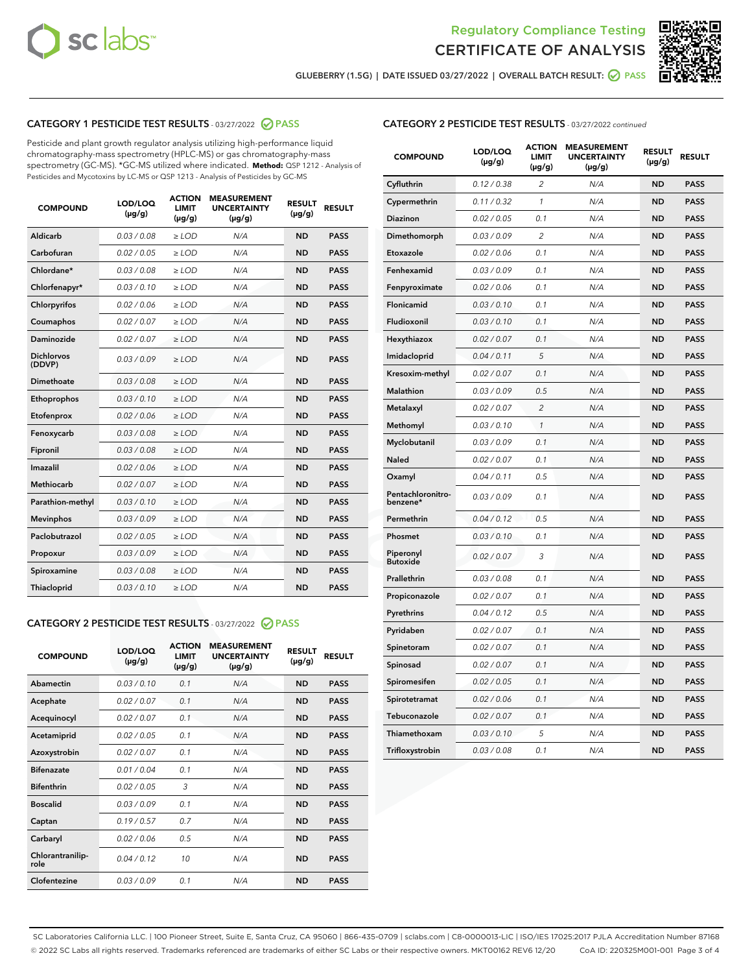



**GLUEBERRY (1.5G) | DATE ISSUED 03/27/2022 | OVERALL BATCH RESULT: PASS**

## **CATEGORY 1 PESTICIDE TEST RESULTS** - 03/27/2022 **PASS**

Pesticide and plant growth regulator analysis utilizing high-performance liquid chromatography-mass spectrometry (HPLC-MS) or gas chromatography-mass spectrometry (GC-MS). \*GC-MS utilized where indicated. **Method:** QSP 1212 - Analysis of Pesticides and Mycotoxins by LC-MS or QSP 1213 - Analysis of Pesticides by GC-MS

| <b>COMPOUND</b>             | <b>LOD/LOQ</b><br>$(\mu g/g)$ | <b>ACTION</b><br><b>LIMIT</b><br>$(\mu g/g)$ | <b>MEASUREMENT</b><br><b>UNCERTAINTY</b><br>$(\mu g/g)$ | <b>RESULT</b><br>$(\mu g/g)$ | <b>RESULT</b> |
|-----------------------------|-------------------------------|----------------------------------------------|---------------------------------------------------------|------------------------------|---------------|
| Aldicarb                    | 0.03 / 0.08                   | $\ge$ LOD                                    | N/A                                                     | <b>ND</b>                    | <b>PASS</b>   |
| Carbofuran                  | 0.02 / 0.05                   | $\ge$ LOD                                    | N/A                                                     | <b>ND</b>                    | <b>PASS</b>   |
| Chlordane*                  | 0.03/0.08                     | $>$ LOD                                      | N/A                                                     | <b>ND</b>                    | <b>PASS</b>   |
| Chlorfenapyr*               | 0.03/0.10                     | $\ge$ LOD                                    | N/A                                                     | <b>ND</b>                    | <b>PASS</b>   |
| Chlorpyrifos                | 0.02/0.06                     | $>$ LOD                                      | N/A                                                     | <b>ND</b>                    | <b>PASS</b>   |
| Coumaphos                   | 0.02 / 0.07                   | $\ge$ LOD                                    | N/A                                                     | <b>ND</b>                    | <b>PASS</b>   |
| Daminozide                  | 0.02 / 0.07                   | $\ge$ LOD                                    | N/A                                                     | <b>ND</b>                    | <b>PASS</b>   |
| <b>Dichlorvos</b><br>(DDVP) | 0.03/0.09                     | $>$ LOD                                      | N/A                                                     | <b>ND</b>                    | <b>PASS</b>   |
| Dimethoate                  | 0.03 / 0.08                   | $>$ LOD                                      | N/A                                                     | <b>ND</b>                    | <b>PASS</b>   |
| Ethoprophos                 | 0.03/0.10                     | $>$ LOD                                      | N/A                                                     | <b>ND</b>                    | <b>PASS</b>   |
| Etofenprox                  | 0.02 / 0.06                   | $\ge$ LOD                                    | N/A                                                     | <b>ND</b>                    | <b>PASS</b>   |
| Fenoxycarb                  | 0.03/0.08                     | $>$ LOD                                      | N/A                                                     | <b>ND</b>                    | <b>PASS</b>   |
| Fipronil                    | 0.03 / 0.08                   | $\ge$ LOD                                    | N/A                                                     | <b>ND</b>                    | <b>PASS</b>   |
| Imazalil                    | 0.02 / 0.06                   | $\ge$ LOD                                    | N/A                                                     | <b>ND</b>                    | <b>PASS</b>   |
| <b>Methiocarb</b>           | 0.02 / 0.07                   | $\ge$ LOD                                    | N/A                                                     | <b>ND</b>                    | <b>PASS</b>   |
| Parathion-methyl            | 0.03/0.10                     | $>$ LOD                                      | N/A                                                     | <b>ND</b>                    | <b>PASS</b>   |
| <b>Mevinphos</b>            | 0.03/0.09                     | $\ge$ LOD                                    | N/A                                                     | <b>ND</b>                    | <b>PASS</b>   |
| Paclobutrazol               | 0.02 / 0.05                   | $\ge$ LOD                                    | N/A                                                     | <b>ND</b>                    | <b>PASS</b>   |
| Propoxur                    | 0.03/0.09                     | $\ge$ LOD                                    | N/A                                                     | <b>ND</b>                    | <b>PASS</b>   |
| Spiroxamine                 | 0.03 / 0.08                   | $\ge$ LOD                                    | N/A                                                     | <b>ND</b>                    | <b>PASS</b>   |
| Thiacloprid                 | 0.03/0.10                     | $\ge$ LOD                                    | N/A                                                     | <b>ND</b>                    | <b>PASS</b>   |

## **CATEGORY 2 PESTICIDE TEST RESULTS** - 03/27/2022 **PASS**

| <b>COMPOUND</b>          | LOD/LOO<br>$(\mu g/g)$ | <b>ACTION</b><br><b>LIMIT</b><br>$(\mu g/g)$ | <b>MEASUREMENT</b><br><b>UNCERTAINTY</b><br>$(\mu g/g)$ | <b>RESULT</b><br>$(\mu g/g)$ | <b>RESULT</b> |
|--------------------------|------------------------|----------------------------------------------|---------------------------------------------------------|------------------------------|---------------|
| Abamectin                | 0.03/0.10              | 0.1                                          | N/A                                                     | <b>ND</b>                    | <b>PASS</b>   |
| Acephate                 | 0.02/0.07              | 0.1                                          | N/A                                                     | <b>ND</b>                    | <b>PASS</b>   |
| Acequinocyl              | 0.02/0.07              | 0.1                                          | N/A                                                     | <b>ND</b>                    | <b>PASS</b>   |
| Acetamiprid              | 0.02/0.05              | 0.1                                          | N/A                                                     | <b>ND</b>                    | <b>PASS</b>   |
| Azoxystrobin             | 0.02/0.07              | 0.1                                          | N/A                                                     | <b>ND</b>                    | <b>PASS</b>   |
| <b>Bifenazate</b>        | 0.01/0.04              | 0.1                                          | N/A                                                     | <b>ND</b>                    | <b>PASS</b>   |
| <b>Bifenthrin</b>        | 0.02/0.05              | 3                                            | N/A                                                     | <b>ND</b>                    | <b>PASS</b>   |
| <b>Boscalid</b>          | 0.03/0.09              | 0.1                                          | N/A                                                     | <b>ND</b>                    | <b>PASS</b>   |
| Captan                   | 0.19/0.57              | 0.7                                          | N/A                                                     | <b>ND</b>                    | <b>PASS</b>   |
| Carbaryl                 | 0.02/0.06              | 0.5                                          | N/A                                                     | <b>ND</b>                    | <b>PASS</b>   |
| Chlorantranilip-<br>role | 0.04/0.12              | 10                                           | N/A                                                     | <b>ND</b>                    | <b>PASS</b>   |
| Clofentezine             | 0.03/0.09              | 0.1                                          | N/A                                                     | <b>ND</b>                    | <b>PASS</b>   |

#### **CATEGORY 2 PESTICIDE TEST RESULTS** - 03/27/2022 continued

| <b>COMPOUND</b>               | LOD/LOQ<br>$(\mu g/g)$ | <b>ACTION</b><br><b>LIMIT</b><br>$(\mu g/g)$ | <b>MEASUREMENT</b><br><b>UNCERTAINTY</b><br>$(\mu g/g)$ | <b>RESULT</b><br>$(\mu g/g)$ | <b>RESULT</b> |
|-------------------------------|------------------------|----------------------------------------------|---------------------------------------------------------|------------------------------|---------------|
| Cyfluthrin                    | 0.12 / 0.38            | $\overline{\mathcal{L}}$                     | N/A                                                     | <b>ND</b>                    | <b>PASS</b>   |
| Cypermethrin                  | 0.11 / 0.32            | $\mathcal{I}$                                | N/A                                                     | <b>ND</b>                    | <b>PASS</b>   |
| <b>Diazinon</b>               | 0.02 / 0.05            | 0.1                                          | N/A                                                     | <b>ND</b>                    | <b>PASS</b>   |
| Dimethomorph                  | 0.03 / 0.09            | $\overline{\mathcal{L}}$                     | N/A                                                     | <b>ND</b>                    | <b>PASS</b>   |
| Etoxazole                     | 0.02 / 0.06            | 0.1                                          | N/A                                                     | ND                           | <b>PASS</b>   |
| Fenhexamid                    | 0.03 / 0.09            | 0.1                                          | N/A                                                     | ND                           | <b>PASS</b>   |
| Fenpyroximate                 | 0.02 / 0.06            | 0.1                                          | N/A                                                     | <b>ND</b>                    | <b>PASS</b>   |
| Flonicamid                    | 0.03 / 0.10            | 0.1                                          | N/A                                                     | <b>ND</b>                    | <b>PASS</b>   |
| Fludioxonil                   | 0.03 / 0.10            | 0.1                                          | N/A                                                     | <b>ND</b>                    | <b>PASS</b>   |
| Hexythiazox                   | 0.02 / 0.07            | 0.1                                          | N/A                                                     | <b>ND</b>                    | <b>PASS</b>   |
| Imidacloprid                  | 0.04 / 0.11            | 5                                            | N/A                                                     | <b>ND</b>                    | <b>PASS</b>   |
| Kresoxim-methyl               | 0.02 / 0.07            | 0.1                                          | N/A                                                     | <b>ND</b>                    | <b>PASS</b>   |
| Malathion                     | 0.03 / 0.09            | 0.5                                          | N/A                                                     | <b>ND</b>                    | <b>PASS</b>   |
| Metalaxyl                     | 0.02 / 0.07            | $\overline{c}$                               | N/A                                                     | <b>ND</b>                    | <b>PASS</b>   |
| Methomyl                      | 0.03 / 0.10            | $\mathbf{1}$                                 | N/A                                                     | <b>ND</b>                    | <b>PASS</b>   |
| Myclobutanil                  | 0.03 / 0.09            | 0.1                                          | N/A                                                     | <b>ND</b>                    | <b>PASS</b>   |
| Naled                         | 0.02 / 0.07            | 0.1                                          | N/A                                                     | <b>ND</b>                    | <b>PASS</b>   |
| Oxamyl                        | 0.04 / 0.11            | 0.5                                          | N/A                                                     | ND                           | <b>PASS</b>   |
| Pentachloronitro-<br>benzene* | 0.03 / 0.09            | 0.1                                          | N/A                                                     | <b>ND</b>                    | <b>PASS</b>   |
| Permethrin                    | 0.04 / 0.12            | 0.5                                          | N/A                                                     | <b>ND</b>                    | <b>PASS</b>   |
| Phosmet                       | 0.03 / 0.10            | 0.1                                          | N/A                                                     | <b>ND</b>                    | <b>PASS</b>   |
| Piperonyl<br><b>Butoxide</b>  | 0.02 / 0.07            | 3                                            | N/A                                                     | <b>ND</b>                    | <b>PASS</b>   |
| Prallethrin                   | 0.03 / 0.08            | 0.1                                          | N/A                                                     | <b>ND</b>                    | <b>PASS</b>   |
| Propiconazole                 | 0.02 / 0.07            | 0.1                                          | N/A                                                     | <b>ND</b>                    | <b>PASS</b>   |
| Pyrethrins                    | 0.04 / 0.12            | 0.5                                          | N/A                                                     | <b>ND</b>                    | <b>PASS</b>   |
| Pyridaben                     | 0.02 / 0.07            | 0.1                                          | N/A                                                     | <b>ND</b>                    | <b>PASS</b>   |
| Spinetoram                    | 0.02 / 0.07            | 0.1                                          | N/A                                                     | <b>ND</b>                    | <b>PASS</b>   |
| Spinosad                      | 0.02 / 0.07            | 0.1                                          | N/A                                                     | <b>ND</b>                    | <b>PASS</b>   |
| Spiromesifen                  | 0.02 / 0.05            | 0.1                                          | N/A                                                     | <b>ND</b>                    | <b>PASS</b>   |
| Spirotetramat                 | 0.02 / 0.06            | 0.1                                          | N/A                                                     | <b>ND</b>                    | <b>PASS</b>   |
| Tebuconazole                  | 0.02 / 0.07            | 0.1                                          | N/A                                                     | ND                           | <b>PASS</b>   |
| Thiamethoxam                  | 0.03 / 0.10            | 5                                            | N/A                                                     | <b>ND</b>                    | <b>PASS</b>   |
| Trifloxystrobin               | 0.03 / 0.08            | 0.1                                          | N/A                                                     | <b>ND</b>                    | <b>PASS</b>   |

SC Laboratories California LLC. | 100 Pioneer Street, Suite E, Santa Cruz, CA 95060 | 866-435-0709 | sclabs.com | C8-0000013-LIC | ISO/IES 17025:2017 PJLA Accreditation Number 87168 © 2022 SC Labs all rights reserved. Trademarks referenced are trademarks of either SC Labs or their respective owners. MKT00162 REV6 12/20 CoA ID: 220325M001-001 Page 3 of 4